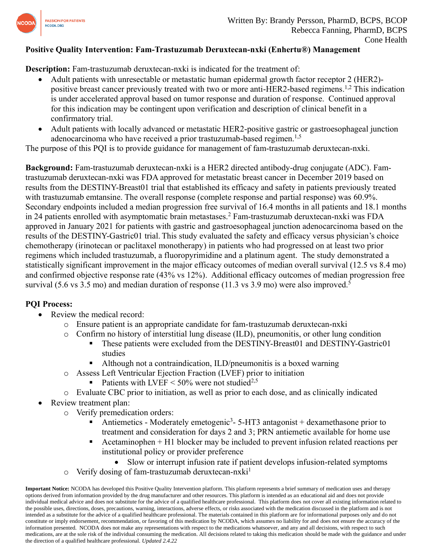

## **Positive Quality Intervention: Fam-Trastuzumab Deruxtecan-nxki (Enhertu®) Management**

**Description:** Fam-trastuzumab deruxtecan-nxki is indicated for the treatment of:

- Adult patients with unresectable or metastatic human epidermal growth factor receptor 2 (HER2) positive breast cancer previously treated with two or more anti-HER2-based regimens.<sup>1,2</sup> This indication is under accelerated approval based on tumor response and duration of response. Continued approval for this indication may be contingent upon verification and description of clinical benefit in a confirmatory trial.
- Adult patients with locally advanced or metastatic HER2-positive gastric or gastroesophageal junction adenocarcinoma who have received a prior trastuzumab-based regimen.<sup>1,5</sup>

The purpose of this PQI is to provide guidance for management of fam-trastuzumab deruxtecan-nxki.

**Background:** Fam-trastuzumab deruxtecan-nxki is a HER2 directed antibody-drug conjugate (ADC). Famtrastuzumab deruxtecan-nxki was FDA approved for metastatic breast cancer in December 2019 based on results from the DESTINY-Breast01 trial that established its efficacy and safety in patients previously treated with trastuzumab emtansine. The overall response (complete response and partial response) was 60.9%. Secondary endpoints included a median progression free survival of 16.4 months in all patients and 18.1 months in 24 patients enrolled with asymptomatic brain metastases.<sup>2</sup> Fam-trastuzumab deruxtecan-nxki was FDA approved in January 2021 for patients with gastric and gastroesophageal junction adenocarcinoma based on the results of the DESTINY-Gastric01 trial. This study evaluated the safety and efficacy versus physician's choice chemotherapy (irinotecan or paclitaxel monotherapy) in patients who had progressed on at least two prior regimens which included trastuzumab, a fluoropyrimidine and a platinum agent. The study demonstrated a statistically significant improvement in the major efficacy outcomes of median overall survival (12.5 vs 8.4 mo) and confirmed objective response rate (43% vs 12%). Additional efficacy outcomes of median progression free survival (5.6 vs 3.5 mo) and median duration of response (11.3 vs 3.9 mo) were also improved.<sup>5</sup>

## **PQI Process:**

- Review the medical record:
	- o Ensure patient is an appropriate candidate for fam-trastuzumab deruxtecan-nxki
	- o Confirm no history of interstitial lung disease (ILD), pneumonitis, or other lung condition
		- These patients were excluded from the DESTINY-Breast01 and DESTINY-Gastric01 studies
		- Although not a contraindication, ILD/pneumonitis is a boxed warning
	- o Assess Left Ventricular Ejection Fraction (LVEF) prior to initiation
		- Patients with LVEF <  $50\%$  were not studied<sup>2,5</sup>
	- o Evaluate CBC prior to initiation, as well as prior to each dose, and as clinically indicated
- Review treatment plan:
	- o Verify premedication orders:
		- Antiemetics Moderately emetogenic<sup>3</sup> 5-HT3 antagonist + dexamethasone prior to treatment and consideration for days 2 and 3; PRN antiemetic available for home use
		- $\blacksquare$  Acetaminophen + H1 blocker may be included to prevent infusion related reactions per institutional policy or provider preference
			- Slow or interrupt infusion rate if patient develops infusion-related symptoms
	- $\circ$  Verify dosing of fam-trastuzumab deruxtecan-nxki<sup>1</sup>

**Important Notice:** NCODA has developed this Positive Quality Intervention platform. This platform represents a brief summary of medication uses and therapy options derived from information provided by the drug manufacturer and other resources. This platform is intended as an educational aid and does not provide individual medical advice and does not substitute for the advice of a qualified healthcare professional. This platform does not cover all existing information related to the possible uses, directions, doses, precautions, warning, interactions, adverse effects, or risks associated with the medication discussed in the platform and is not intended as a substitute for the advice of a qualified healthcare professional. The materials contained in this platform are for informational purposes only and do not constitute or imply endorsement, recommendation, or favoring of this medication by NCODA, which assumes no liability for and does not ensure the accuracy of the information presented. NCODA does not make any representations with respect to the medications whatsoever, and any and all decisions, with respect to such medications, are at the sole risk of the individual consuming the medication. All decisions related to taking this medication should be made with the guidance and under the direction of a qualified healthcare professional. *Updated 2.4.22*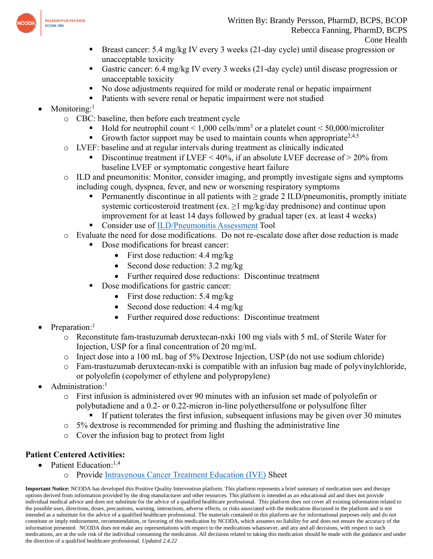

- Breast cancer: 5.4 mg/kg IV every 3 weeks (21-day cycle) until disease progression or unacceptable toxicity
- Gastric cancer: 6.4 mg/kg IV every 3 weeks (21-day cycle) until disease progression or unacceptable toxicity
- No dose adjustments required for mild or moderate renal or hepatic impairment
- Patients with severe renal or hepatic impairment were not studied
- Monitoring:<sup>1</sup>
	- o CBC: baseline, then before each treatment cycle
		- Hold for neutrophil count  $\leq 1,000$  cells/mm<sup>3</sup> or a platelet count  $\leq 50,000$ /microliter
		- **•** Growth factor support may be used to maintain counts when appropriate<sup>2,4,5</sup>
	- o LVEF: baseline and at regular intervals during treatment as clinically indicated
		- Discontinue treatment if LVEF < 40%, if an absolute LVEF decrease of  $>$  20% from baseline LVEF or symptomatic congestive heart failure
	- $\circ$  ILD and pneumonitis: Monitor, consider imaging, and promptly investigate signs and symptoms including cough, dyspnea, fever, and new or worsening respiratory symptoms
		- **•** Permanently discontinue in all patients with  $\geq$  grade 2 ILD/pneumonitis, promptly initiate systemic corticosteroid treatment (ex.  $\geq$ 1 mg/kg/day prednisone) and continue upon improvement for at least 14 days followed by gradual taper (ex. at least 4 weeks)
		- Consider use of [ILD/Pneumonitis Assessment](https://www.ncoda.org/toolkit/enhertu-ild/) Tool
	- o Evaluate the need for dose modifications. Do not re-escalate dose after dose reduction is made
		- Dose modifications for breast cancer:
			- First dose reduction:  $4.4 \text{ mg/kg}$
			- Second dose reduction: 3.2 mg/kg
			- Further required dose reductions: Discontinue treatment
		- Dose modifications for gastric cancer:
			- First dose reduction: 5.4 mg/kg
			- Second dose reduction: 4.4 mg/kg
			- Further required dose reductions: Discontinue treatment
- Preparation:<sup>1</sup>
	- o Reconstitute fam-trastuzumab deruxtecan-nxki 100 mg vials with 5 mL of Sterile Water for Injection, USP for a final concentration of 20 mg/mL
	- o Inject dose into a 100 mL bag of 5% Dextrose Injection, USP (do not use sodium chloride)
	- o Fam-trastuzumab deruxtecan-nxki is compatible with an infusion bag made of polyvinylchloride, or polyolefin (copolymer of ethylene and polypropylene)
- Administration:<sup>1</sup>
	- o First infusion is administered over 90 minutes with an infusion set made of polyolefin or polybutadiene and a 0.2- or 0.22-micron in-line polyethersulfone or polysulfone filter
		- **If patient tolerates the first infusion, subsequent infusions may be given over 30 minutes**
	- o 5% dextrose is recommended for priming and flushing the administrative line
	- o Cover the infusion bag to protect from light

## **Patient Centered Activities:**

- Patient Education:<sup>1,4</sup>
	- o Provide [Intravenous Cancer Treatment Education \(IVE\)](http://ivcanceredsheets.com/index.php/sheet-library/24-available/generic/555-trastuzumab-deruxtecan) Sheet

**Important Notice:** NCODA has developed this Positive Quality Intervention platform. This platform represents a brief summary of medication uses and therapy options derived from information provided by the drug manufacturer and other resources. This platform is intended as an educational aid and does not provide individual medical advice and does not substitute for the advice of a qualified healthcare professional. This platform does not cover all existing information related to the possible uses, directions, doses, precautions, warning, interactions, adverse effects, or risks associated with the medication discussed in the platform and is not intended as a substitute for the advice of a qualified healthcare professional. The materials contained in this platform are for informational purposes only and do not constitute or imply endorsement, recommendation, or favoring of this medication by NCODA, which assumes no liability for and does not ensure the accuracy of the information presented. NCODA does not make any representations with respect to the medications whatsoever, and any and all decisions, with respect to such medications, are at the sole risk of the individual consuming the medication. All decisions related to taking this medication should be made with the guidance and under the direction of a qualified healthcare professional. *Updated 2.4.22*